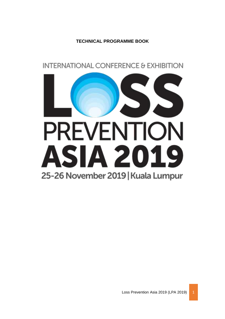**TECHNICAL PROGRAMME BOOK**

**INTERNATIONAL CONFERENCE & EXHIBITION** 

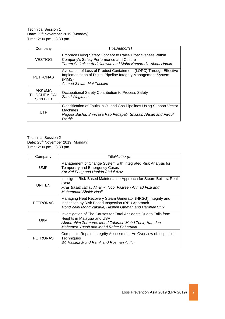Technical Session 1 Date: 25<sup>th</sup> November 2019 (Monday) Time: 2:00 pm – 3:30 pm

| Company                                         | Title/Author(s)                                                                                                                                                           |
|-------------------------------------------------|---------------------------------------------------------------------------------------------------------------------------------------------------------------------------|
| <b>VESTIGO</b>                                  | Embrace Living Safety Concept to Raise Proactiveness Within<br>Company's Safety Performance and Culture<br>Taram Satiraksa Abdullahwan and Mohd Kamarudin Abdul Hamid     |
| <b>PETRONAS</b>                                 | Avoidance of Loss of Product Containment (LOPC) Through Effective<br>Implementation of Digital Pipeline Integrity Management System<br>(PIMS)<br>Ahmad Sirwan Mat Tuselim |
| ARKEMA<br><b>THIOCHEMICAL</b><br><b>SDN BHD</b> | Occupational Safety Contribution to Process Safety<br>Zamri Wagiman                                                                                                       |
| UTP                                             | Classification of Faults in Oil and Gas Pipelines Using Support Vector<br><b>Machines</b><br>Nagoor Basha, Srinivasa Rao Pedapati, Shazaib Ahsan and Faizul<br>Dzubir     |

Technical Session 2 Date: 25<sup>th</sup> November 2019 (Monday) Time: 2:00 pm – 3:30 pm

| Company         | Title/Author(s)                                                                                                                                                                                      |
|-----------------|------------------------------------------------------------------------------------------------------------------------------------------------------------------------------------------------------|
| UMP             | Management of Change System with Integrated Risk Analysis for<br><b>Temporary and Emergency Cases</b><br>Kar Kei Pang and Hanida Abdul Aziz                                                          |
| UNITEN          | Intelligent Risk-Based Maintenance Approach for Steam Boilers: Real<br>Case<br>Firas Basim Ismail Alnaimi, Noor Fazreen Ahmad Fuzi and<br><b>Mohammad Shakir Nasif</b>                               |
| <b>PETRONAS</b> | Managing Heat Recovery Steam Generator (HRSG) Integrity and<br>Inspection by Risk Based Inspection (RBI) Approach.<br>Mohd Zaini Mohd Zakaria, Hashim Othman and Hambali Chik                        |
| UPM             | Investigation of The Causes for Fatal Accidents Due to Falls from<br>Heights in Malaysia and USA<br>Abderrahim Zermane, Mohd Zahirasri Mohd Tohir, Hamdan<br>Mohamed Yusoff and Mohd Rafee Baharudin |
| <b>PETRONAS</b> | Composite Repairs Integrity Assessment: An Overview of Inspection<br><b>Techniques</b><br>Siti Haslina Mohd Ramli and Rosman Ariffin                                                                 |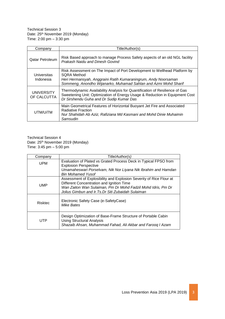Technical Session 3 Date: 25<sup>th</sup> November 2019 (Monday) Time: 2:00 pm – 3:30 pm

| Company                          | Title/Author(s)                                                                                                                                                                                                                      |
|----------------------------------|--------------------------------------------------------------------------------------------------------------------------------------------------------------------------------------------------------------------------------------|
| <b>Qatar Petroleum</b>           | Risk Based approach to manage Process Safety aspects of an old NGL facility<br><b>Prakash Naidu and Dinesh Govind</b>                                                                                                                |
| Universitas<br>Indonesia         | Risk Assessment on The Impact of Port Development to Wellhead Platform by<br><b>SORA Method</b><br>Heri Hermansyah, Anggraini Ratih Kumaraningrum, Andy Noorsaman<br>Sommeng, Anondho Wijanarko, Muhamad Sahlan and Azmi Mohd Sharif |
| <b>UNIVERSITY</b><br>OF CALCUTTA | Thermodynamic Availability Analysis for Quantification of Resilience of Gas<br>Sweetening Unit: Optimization of Energy Usage & Reduction in Equipment Cost<br>Dr Sirshendu Guha and Dr Sudip Kumar Das                               |
| UTM/UiTM                         | Main Geometrical Features of Horizontal Buoyant Jet Fire and Associated<br><b>Radiative Fraction</b><br>Nur Shahidah Ab Aziz, Rafiziana Md Kasmani and Mohd Dinie Muhaimin<br>Samsudin                                               |

Technical Session 4 Date: 25<sup>th</sup> November 2019 (Monday) Time: 3:45 pm – 5:00 pm

| Company    | Title/Author(s)                                                                                                                                                                                                                         |
|------------|-----------------------------------------------------------------------------------------------------------------------------------------------------------------------------------------------------------------------------------------|
| UPM        | Evaluation of Plated vs Grated Process Deck in Typical FPSO from<br><b>Explosion Perspective</b>                                                                                                                                        |
|            | Umamaheswari Porselvam, Nik Nor Liyana Nik Ibrahim and Hamdan<br><b>Bin Mohamed Yusof</b>                                                                                                                                               |
| <b>UMP</b> | Assessment of Explosibility and Explosion Severity of Rice Flour at<br>Different Concentration and Ignition Time<br>Wan Zaiton Wan Sulaiman, Pm Dr Mohd Fadzil Mohd Idris, Pm Dr<br>Jolius Gimbun and Ir. Ts. Dr Siti Zubaidah Sulaiman |
| Risktec    | Electronic Safety Case (e-SafetyCase)<br>Mike Bates                                                                                                                                                                                     |
| UTP        | Design Optimization of Base-Frame Structure of Portable Cabin<br><b>Using Structural Analysis</b><br>Shazaib Ahsan, Muhammad Fahad, Ali Akbar and Farooq I Azam                                                                         |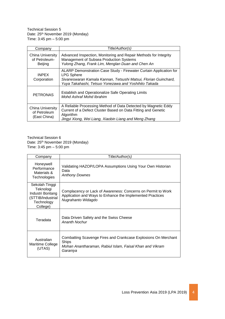Technical Session 5 Date: 25<sup>th</sup> November 2019 (Monday) Time: 3:45 pm – 5:00 pm

| Company                                             | Title/Author(s)                                                                                                                                                                                                    |
|-----------------------------------------------------|--------------------------------------------------------------------------------------------------------------------------------------------------------------------------------------------------------------------|
| China University<br>of Petroleum-<br><b>Beijing</b> | Advanced Inspection, Monitoring and Repair Methods for Integrity<br>Management of Subsea Production Systems<br>Yulong Zhang, Frank Lim, Menglan Duan and Chen An                                                   |
| <b>INPEX</b><br>Corporation                         | ALARP Demonstration Case Study - Firewater Curtain Application for<br><b>LPG Sphere</b><br>Sivaneswaran Kamala Kannan, Tetsushi Matsui, Florian Guinchard,<br>Yuya Takahashi, Tetsuo Yonezawa and Yoshihito Takada |
| <b>PETRONAS</b>                                     | Establish and Operationalize Safe Operating Limits<br>Mohd Ashraf Mohd Ibrahim                                                                                                                                     |
| China University<br>of Petroleum<br>(East China)    | A Reliable Processing Method of Data Detected by Magnetic Eddy<br>Current of a Defect Cluster Based on Data Fitting and Genetic<br>Algorithm<br>Jingyi Xiong, Wei Liang, Xiaobin Liang and Meng Zhang              |

Technical Session 6 Date: 25<sup>th</sup> November 2019 (Monday) Time: 3:45 pm – 5:00 pm

| Company                                                                                        | Title/Author(s)                                                                                                                                 |
|------------------------------------------------------------------------------------------------|-------------------------------------------------------------------------------------------------------------------------------------------------|
| Honeywell<br>Performance<br>Materials &<br>Technologies                                        | Validating HAZOP/LOPA Assumptions Using Your Own Historian<br>Data<br><b>Anthony Downes</b>                                                     |
| Sekolah Tinggi<br>Teknologi<br>Industri Bontang<br>(STTIB/Industrial<br>Technology<br>College) | Complacency or Lack of Awareness: Concerns on Permit to Work<br>Application and Ways to Enhance the Implemented Practices<br>Nugrahanto Widagdo |
| Teradata                                                                                       | Data Driven Safety and the Swiss Cheese<br><b>Ananth Nochur</b>                                                                                 |
| Australian<br>Maritime College<br>(UTAS)                                                       | Combatting Scavenge Fires and Crankcase Explosions On Merchant<br>Ships<br>Mohan Anantharaman, Rabiul Islam, Faisal Khan and Vikram<br>Garaniya |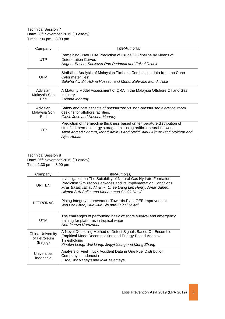Technical Session 7 Date: 26th November 2019 (Tuesday) Time: 1:30 pm – 3:00 pm

| Company                                | Title/Author(s)                                                                                                                                                                                                                                |
|----------------------------------------|------------------------------------------------------------------------------------------------------------------------------------------------------------------------------------------------------------------------------------------------|
| <b>UTP</b>                             | Remaining Useful Life Prediction of Crude Oil Pipeline by Means of<br><b>Deterioration Curves</b><br>Nagoor Basha, Srinivasa Rao Pedapati and Faizul Dzubir                                                                                    |
| <b>UPM</b>                             | Statistical Analysis of Malaysian Timber's Combustion data from the Cone<br><b>Calorimeter Test</b><br>Sulaiha Ali, Siti Aslina Hussain and Mohd. Zahirasri Mohd. Tohir                                                                        |
| Advisian<br>Malaysia Sdn<br><b>Bhd</b> | A Maturity Model Assessment of QRA in the Malaysia Offshore Oil and Gas<br>Industry.<br>Krishna Moorthy                                                                                                                                        |
| Advisian<br>Malaysia Sdn<br><b>Bhd</b> | Safety and cost aspects of pressurized vs. non-pressurised electrical room<br>designs for offshore facilities.<br>Girish Jose and Krishna Moorthy                                                                                              |
| <b>UTP</b>                             | Prediction of thermocline thickness based on temperature distribution of<br>stratified thermal energy storage tank using artificial neural network.<br>Afzal Ahmed Soomro, Mohd Amin B Abd Majid, Ainul Akmar Binti Mokhtar and<br>Aijaz Abbas |

## Technical Session 8 Date: 26<sup>th</sup> November 2019 (Tuesday) Time: 1:30 pm – 3:00 pm

| Company                                             | Title/Author(s)                                                                                                                                                                                                                                       |
|-----------------------------------------------------|-------------------------------------------------------------------------------------------------------------------------------------------------------------------------------------------------------------------------------------------------------|
| <b>UNITEN</b>                                       | Investigation on The Suitability of Natural Gas Hydrate Formation<br>Prediction Simulation Packages and its Implementation Conditions<br>Firas Basim Ismail Alnaimi, Chee Liang Lim Henry, Amar Sahed,<br>Hikmat S AI Salim and Mohammad Shakir Nasif |
| <b>PETRONAS</b>                                     | Piping Integrity Improvement Towards Plant OEE Improvement<br>Wei Lee Choo, Hua Jiuh Sia and Zainal M Arif                                                                                                                                            |
| UTM                                                 | The challenges of performing basic offshore survival and emergency<br>training for platforms in tropical water<br>Norafneeza Norazahar                                                                                                                |
| <b>China University</b><br>of Petroleum<br>(Beijng) | A Novel Denoising Method of Defect Signals Based On Ensemble<br><b>Empirical Mode Decomposition and Energy-Based Adaptive</b><br>Thresholding<br>Xiaobin Liang, Wei Liang, Jingyi Xiong and Meng Zhang                                                |
| Universitas<br>Indonesia                            | Analysis of Fuel Truck Accident Data in One Fuel Distribution<br>Company in Indonesia<br>Lisda Dwi Rahayu and Mila Tejamaya                                                                                                                           |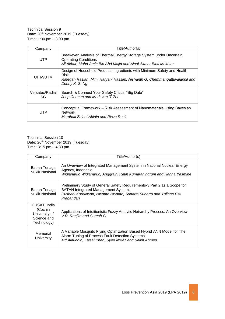Technical Session 9 Date: 26th November 2019 (Tuesday) Time: 1:30 pm – 3:00 pm

| Company               | Title/Author(s)                                                                                                                                                                       |
|-----------------------|---------------------------------------------------------------------------------------------------------------------------------------------------------------------------------------|
| <b>UTP</b>            | Breakeven Analysis of Thermal Energy Storage System under Uncertain<br><b>Operating Conditions</b><br>Ali Akbar, Mohd Amin Bin Abd Majid and Ainul Akmar Binti Mokhtar                |
| UITM/UTM              | Design of Household Products Ingredients with Minimum Safety and Health<br><b>Risk</b><br>Rafegah Raslan, Mimi Haryani Hassim, Nishanth G. Chemmangattuvalappil and<br>Denny K. S. Ng |
| Versatec/Radial<br>SG | Search & Connect Your Safety Critical "Big Data"<br>Joep Coenen and Mark van 'T Zet                                                                                                   |
| UTP                   | Conceptual Framework – Risk Assessment of Nanomaterials Using Bayesian<br><b>Network</b><br>Mardhati Zainal Abidin and Risza Rusli                                                    |

Technical Session 10 Date: 26th November 2019 (Tuesday) Time: 3:15 pm – 4:30 pm

| Company                                                                | Title/Author(s)                                                                                                                                                                                              |
|------------------------------------------------------------------------|--------------------------------------------------------------------------------------------------------------------------------------------------------------------------------------------------------------|
| Badan Tenaga<br><b>Nuklir Nasional</b>                                 | An Overview of Integrated Management System in National Nuclear Energy<br>Agency, Indonesia.<br>Widjanarko Widjanarko, Anggraini Ratih Kumaraningrum and Hanna Yasmine                                       |
| Badan Tenaga<br><b>Nuklir Nasional</b>                                 | Preliminary Study of General Safety Requirements-3 Part 2 as a Scope for<br><b>BATAN Integrated Management System.</b><br>Rusbani Kurniawan, Iswanto Iswanto, Sunarto Sunarto and Yuliana Esti<br>Prabandari |
| CUSAT, India<br>(Cochin<br>University of<br>Science and<br>Technology) | Applications of Intuitionistic Fuzzy Analytic Heirarchy Process: An Overview<br>V.R. Renjith and Suresh G                                                                                                    |
| Memorial<br>University                                                 | A Variable Mosquito Flying Optimization Based Hybrid ANN Model for The<br>Alarm Tuning of Process Fault Detection Systems<br>Md Alauddin, Faisal Khan, Syed Imtiaz and Salim Ahmed                           |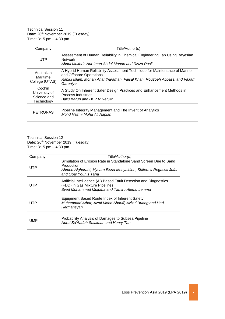Technical Session 11 Date: 26<sup>th</sup> November 2019 (Tuesday) Time: 3:15 pm – 4:30 pm

| Company                                              | Title/Author(s)                                                                                                                                                                               |
|------------------------------------------------------|-----------------------------------------------------------------------------------------------------------------------------------------------------------------------------------------------|
| <b>UTP</b>                                           | Assessment of Human Reliability in Chemical Engineering Lab Using Bayesian<br><b>Network</b><br>Abdul Mukhriz Nur Iman Abdul Manan and Risza Rusli                                            |
| Australian<br>Maritime<br>College (UTAS)             | A Hybrid Human Reliability Assessment Technique for Maintenance of Marine<br>and Offshore Operations<br>Rabiul Islam, Mohan Anantharaman, Faisal Khan, Rouzbeh Abbassi and Vikram<br>Garaniya |
| Cochin<br>University of<br>Science and<br>Technology | A Study On Inherent Safer Design Practices and Enhancement Methods in<br>Process Industries<br>Baiju Karun and Dr. V.R. Renjith                                                               |
| <b>PETRONAS</b>                                      | Pipeline Integrity Management and The Invent of Analytics<br>Mohd Nazmi Mohd Ali Napiah                                                                                                       |

Technical Session 12 Date: 26th November 2019 (Tuesday) Time: 3:15 pm – 4:30 pm

| Company    | Title/Author(s)                                                                                                                                                            |
|------------|----------------------------------------------------------------------------------------------------------------------------------------------------------------------------|
| UTP        | Simulation of Erosion Rate in Standalone Sand Screen Due to Sand<br>Production<br>Ahmed Alghurabi, Mysara Eissa Mohyaldinn, Shiferaw Regassa Jufar<br>and Obai Younis Taha |
| UTP        | Artificial Intelligence (AI) Based Fault Detection and Diagnostics<br>(FDD) in Gas Mixture Pipelines<br>Syed Muhammad Mujtaba and Tamiru Alemu Lemma                       |
| UTP        | Equipment Based Route Index of Inherent Safety<br>Muhammad Athar, Azmi Mohd Shariff, Azizul Buang and Heri<br>Hermansyah                                                   |
| <b>UMP</b> | Probability Analysis of Damages to Subsea Pipeline<br>Nurul Sa'Aadah Sulaiman and Henry Tan                                                                                |